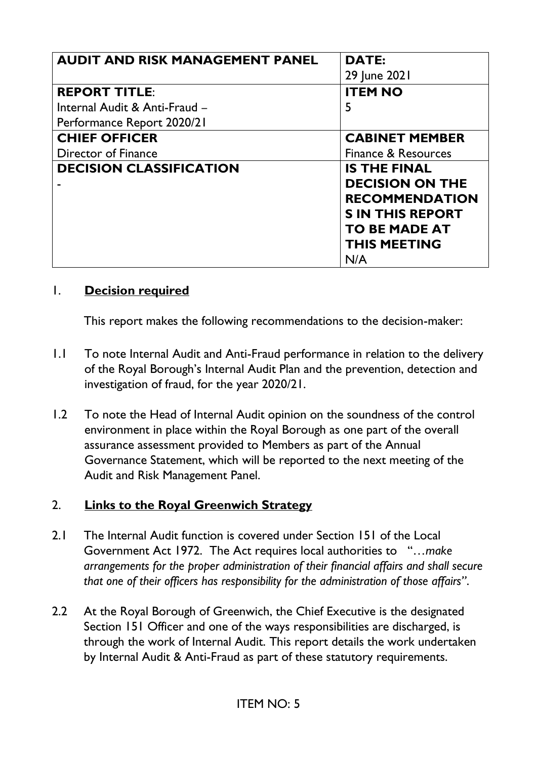| <b>AUDIT AND RISK MANAGEMENT PANEL</b> | <b>DATE:</b>            |
|----------------------------------------|-------------------------|
|                                        | 29 June 2021            |
| <b>REPORT TITLE:</b>                   | <b>ITEM NO</b>          |
| Internal Audit & Anti-Fraud -          | 5                       |
| Performance Report 2020/21             |                         |
| <b>CHIEF OFFICER</b>                   | <b>CABINET MEMBER</b>   |
| Director of Finance                    | Finance & Resources     |
| <b>DECISION CLASSIFICATION</b>         | <b>IS THE FINAL</b>     |
|                                        | <b>DECISION ON THE</b>  |
|                                        | <b>RECOMMENDATION</b>   |
|                                        | <b>S IN THIS REPORT</b> |
|                                        | <b>TO BE MADE AT</b>    |
|                                        | <b>THIS MEETING</b>     |
|                                        | N/A                     |

### 1. **Decision required**

This report makes the following recommendations to the decision-maker:

- 1.1 To note Internal Audit and Anti-Fraud performance in relation to the delivery of the Royal Borough's Internal Audit Plan and the prevention, detection and investigation of fraud, for the year 2020/21.
- 1.2 To note the Head of Internal Audit opinion on the soundness of the control environment in place within the Royal Borough as one part of the overall assurance assessment provided to Members as part of the Annual Governance Statement, which will be reported to the next meeting of the Audit and Risk Management Panel.

# 2. **Links to the Royal Greenwich Strategy**

- 2.1 The Internal Audit function is covered under Section 151 of the Local Government Act 1972. The Act requires local authorities to "…*make arrangements for the proper administration of their financial affairs and shall secure that one of their officers has responsibility for the administration of those affairs"*.
- 2.2 At the Royal Borough of Greenwich, the Chief Executive is the designated Section 151 Officer and one of the ways responsibilities are discharged, is through the work of Internal Audit. This report details the work undertaken by Internal Audit & Anti-Fraud as part of these statutory requirements.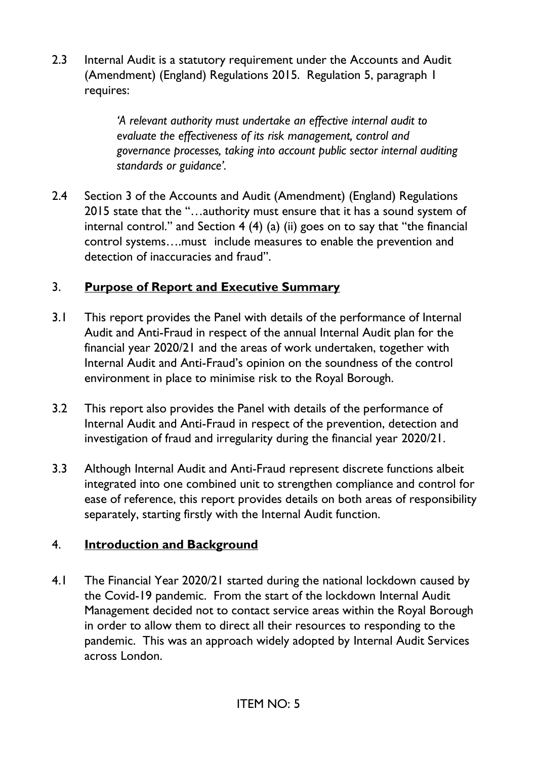2.3 Internal Audit is a statutory requirement under the Accounts and Audit (Amendment) (England) Regulations 2015. Regulation 5, paragraph 1 requires:

> *'A relevant authority must undertake an effective internal audit to evaluate the effectiveness of its risk management, control and governance processes, taking into account public sector internal auditing standards or guidance'.*

2.4 Section 3 of the Accounts and Audit (Amendment) (England) Regulations 2015 state that the "…authority must ensure that it has a sound system of internal control." and Section 4 (4) (a) (ii) goes on to say that "the financial control systems….must include measures to enable the prevention and detection of inaccuracies and fraud".

# 3. **Purpose of Report and Executive Summary**

- 3.1 This report provides the Panel with details of the performance of Internal Audit and Anti-Fraud in respect of the annual Internal Audit plan for the financial year 2020/21 and the areas of work undertaken, together with Internal Audit and Anti-Fraud's opinion on the soundness of the control environment in place to minimise risk to the Royal Borough.
- 3.2 This report also provides the Panel with details of the performance of Internal Audit and Anti-Fraud in respect of the prevention, detection and investigation of fraud and irregularity during the financial year 2020/21.
- 3.3 Although Internal Audit and Anti-Fraud represent discrete functions albeit integrated into one combined unit to strengthen compliance and control for ease of reference, this report provides details on both areas of responsibility separately, starting firstly with the Internal Audit function.

# 4. **Introduction and Background**

4.1 The Financial Year 2020/21 started during the national lockdown caused by the Covid-19 pandemic. From the start of the lockdown Internal Audit Management decided not to contact service areas within the Royal Borough in order to allow them to direct all their resources to responding to the pandemic. This was an approach widely adopted by Internal Audit Services across London.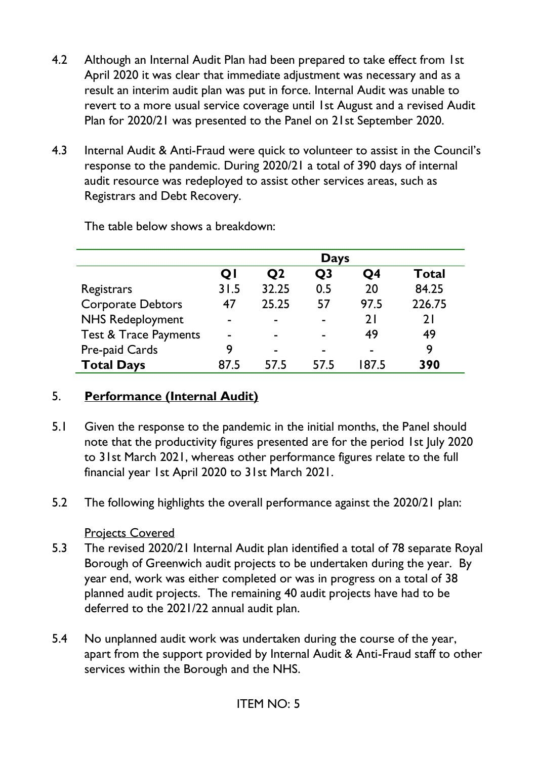- 4.2 Although an Internal Audit Plan had been prepared to take effect from 1st April 2020 it was clear that immediate adjustment was necessary and as a result an interim audit plan was put in force. Internal Audit was unable to revert to a more usual service coverage until 1st August and a revised Audit Plan for 2020/21 was presented to the Panel on 21st September 2020.
- 4.3 Internal Audit & Anti-Fraud were quick to volunteer to assist in the Council's response to the pandemic. During 2020/21 a total of 390 days of internal audit resource was redeployed to assist other services areas, such as Registrars and Debt Recovery.

|                                  |      |                | <b>Days</b>    |                |              |
|----------------------------------|------|----------------|----------------|----------------|--------------|
|                                  | QI   | Q <sub>2</sub> | Q <sub>3</sub> | Q4             | <b>Total</b> |
| Registrars                       | 31.5 | 32.25          | 0.5            | 20             | 84.25        |
| <b>Corporate Debtors</b>         | 47   | 25.25          | 57             | 97.5           | 226.75       |
| <b>NHS Redeployment</b>          |      | -              | $\blacksquare$ | 21             | 21           |
| <b>Test &amp; Trace Payments</b> |      | -              | -              | 49             | 49           |
| Pre-paid Cards                   |      | -              | -              | $\blacksquare$ | 9            |
| <b>Total Days</b>                | 87.5 | 57.5           | 57.5           | 87.5           | 390          |

The table below shows a breakdown:

# 5. **Performance (Internal Audit)**

- 5.1 Given the response to the pandemic in the initial months, the Panel should note that the productivity figures presented are for the period 1st July 2020 to 31st March 2021, whereas other performance figures relate to the full financial year 1st April 2020 to 31st March 2021.
- 5.2 The following highlights the overall performance against the 2020/21 plan:

# Projects Covered

- 5.3 The revised 2020/21 Internal Audit plan identified a total of 78 separate Royal Borough of Greenwich audit projects to be undertaken during the year. By year end, work was either completed or was in progress on a total of 38 planned audit projects. The remaining 40 audit projects have had to be deferred to the 2021/22 annual audit plan.
- 5.4 No unplanned audit work was undertaken during the course of the year, apart from the support provided by Internal Audit & Anti-Fraud staff to other services within the Borough and the NHS.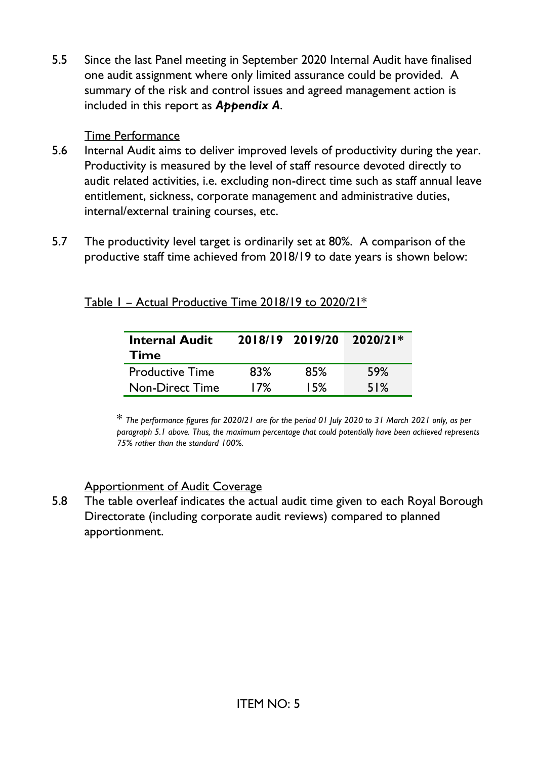5.5 Since the last Panel meeting in September 2020 Internal Audit have finalised one audit assignment where only limited assurance could be provided. A summary of the risk and control issues and agreed management action is included in this report as *Appendix A*.

### Time Performance

- 5.6 Internal Audit aims to deliver improved levels of productivity during the year. Productivity is measured by the level of staff resource devoted directly to audit related activities, i.e. excluding non-direct time such as staff annual leave entitlement, sickness, corporate management and administrative duties, internal/external training courses, etc.
- 5.7 The productivity level target is ordinarily set at 80%. A comparison of the productive staff time achieved from 2018/19 to date years is shown below:

| <b>Internal Audit</b><br><b>Time</b> |     | 2018/19 2019/20 | $2020/21*$ |
|--------------------------------------|-----|-----------------|------------|
| <b>Productive Time</b>               | 83% | 85%             | 59%        |
| <b>Non-Direct Time</b>               | 17% | <b>15%</b>      | 51%        |

Table 1 – Actual Productive Time 2018/19 to 2020/21\*

\* *The performance figures for 2020/21 are for the period 01 July 2020 to 31 March 2021 only, as per paragraph 5.1 above. Thus, the maximum percentage that could potentially have been achieved represents 75% rather than the standard 100%.* 

# Apportionment of Audit Coverage

5.8 The table overleaf indicates the actual audit time given to each Royal Borough Directorate (including corporate audit reviews) compared to planned apportionment.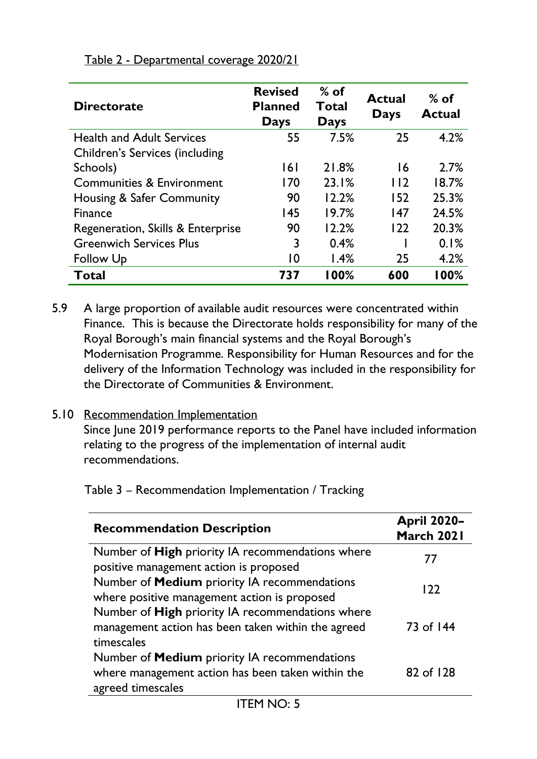| <b>Directorate</b>                    | <b>Revised</b><br><b>Planned</b><br>Days | $%$ of<br><b>Total</b><br><b>Days</b> | <b>Actual</b><br><b>Days</b> | $%$ of<br><b>Actual</b> |
|---------------------------------------|------------------------------------------|---------------------------------------|------------------------------|-------------------------|
| <b>Health and Adult Services</b>      | 55                                       | 7.5%                                  | 25                           | 4.2%                    |
| <b>Children's Services (including</b> |                                          |                                       |                              |                         |
| Schools)                              | 6                                        | 21.8%                                 | 16                           | 2.7%                    |
| <b>Communities &amp; Environment</b>  | 170                                      | 23.1%                                 | 112                          | 18.7%                   |
| Housing & Safer Community             | 90                                       | 12.2%                                 | 152                          | 25.3%                   |
| <b>Finance</b>                        | 145                                      | 19.7%                                 | 147                          | 24.5%                   |
| Regeneration, Skills & Enterprise     | 90                                       | 12.2%                                 | 122                          | 20.3%                   |
| <b>Greenwich Services Plus</b>        | 3                                        | 0.4%                                  |                              | 0.1%                    |
| <b>Follow Up</b>                      | 10                                       | 1.4%                                  | 25                           | 4.2%                    |
| Total                                 | 737                                      | 100%                                  | 600                          | 100%                    |

Table 2 - Departmental coverage 2020/21

5.9 A large proportion of available audit resources were concentrated within Finance. This is because the Directorate holds responsibility for many of the Royal Borough's main financial systems and the Royal Borough's Modernisation Programme. Responsibility for Human Resources and for the delivery of the Information Technology was included in the responsibility for the Directorate of Communities & Environment.

### 5.10 Recommendation Implementation

Since June 2019 performance reports to the Panel have included information relating to the progress of the implementation of internal audit recommendations.

Table 3 – Recommendation Implementation / Tracking

| <b>Recommendation Description</b>                                                                                      | <b>April 2020-</b><br>March 2021 |
|------------------------------------------------------------------------------------------------------------------------|----------------------------------|
| Number of High priority IA recommendations where<br>positive management action is proposed                             | 77                               |
| Number of Medium priority IA recommendations<br>where positive management action is proposed                           | 122                              |
| Number of High priority IA recommendations where<br>management action has been taken within the agreed<br>timescales   | 73 of 144                        |
| Number of Medium priority IA recommendations<br>where management action has been taken within the<br>agreed timescales | 82 of 128                        |
|                                                                                                                        |                                  |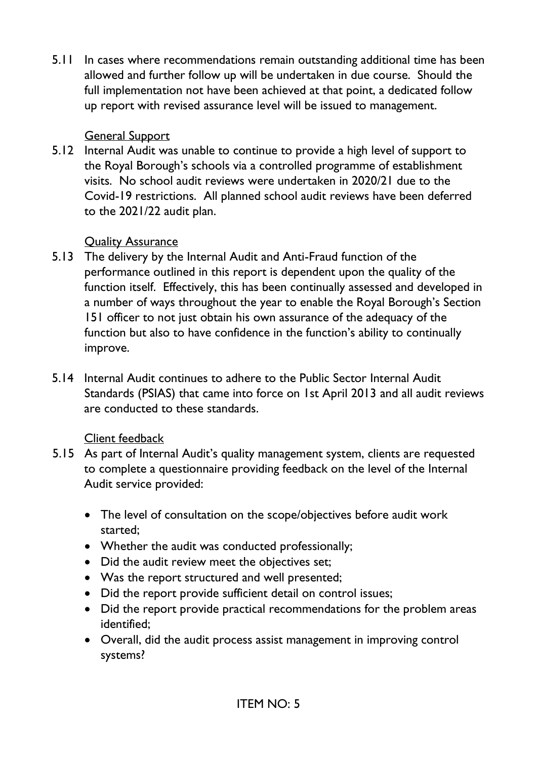5.11 In cases where recommendations remain outstanding additional time has been allowed and further follow up will be undertaken in due course. Should the full implementation not have been achieved at that point, a dedicated follow up report with revised assurance level will be issued to management.

### General Support

5.12 Internal Audit was unable to continue to provide a high level of support to the Royal Borough's schools via a controlled programme of establishment visits. No school audit reviews were undertaken in 2020/21 due to the Covid-19 restrictions. All planned school audit reviews have been deferred to the 2021/22 audit plan.

# Quality Assurance

- 5.13 The delivery by the Internal Audit and Anti-Fraud function of the performance outlined in this report is dependent upon the quality of the function itself. Effectively, this has been continually assessed and developed in a number of ways throughout the year to enable the Royal Borough's Section 151 officer to not just obtain his own assurance of the adequacy of the function but also to have confidence in the function's ability to continually improve.
- 5.14 Internal Audit continues to adhere to the Public Sector Internal Audit Standards (PSIAS) that came into force on 1st April 2013 and all audit reviews are conducted to these standards.

# Client feedback

- 5.15 As part of Internal Audit's quality management system, clients are requested to complete a questionnaire providing feedback on the level of the Internal Audit service provided:
	- The level of consultation on the scope/objectives before audit work started;
	- Whether the audit was conducted professionally;
	- Did the audit review meet the objectives set;
	- Was the report structured and well presented;
	- Did the report provide sufficient detail on control issues;
	- Did the report provide practical recommendations for the problem areas identified;
	- Overall, did the audit process assist management in improving control systems?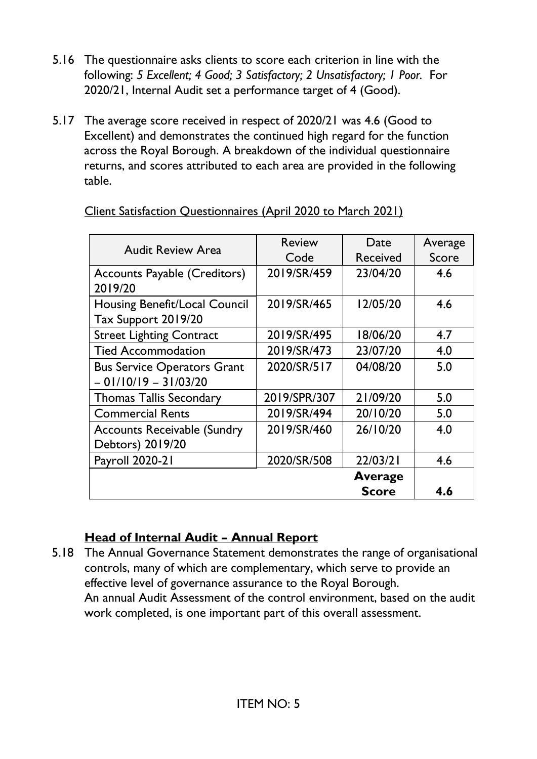- 5.16 The questionnaire asks clients to score each criterion in line with the following: *5 Excellent; 4 Good; 3 Satisfactory; 2 Unsatisfactory; 1 Poor.* For 2020/21, Internal Audit set a performance target of 4 (Good).
- 5.17 The average score received in respect of 2020/21 was 4.6 (Good to Excellent) and demonstrates the continued high regard for the function across the Royal Borough. A breakdown of the individual questionnaire returns, and scores attributed to each area are provided in the following table.

| <b>Audit Review Area</b>            | <b>Review</b> | Date            | Average |
|-------------------------------------|---------------|-----------------|---------|
|                                     | Code          | <b>Received</b> | Score   |
| <b>Accounts Payable (Creditors)</b> | 2019/SR/459   | 23/04/20        | 4.6     |
| 2019/20                             |               |                 |         |
| Housing Benefit/Local Council       | 2019/SR/465   | 12/05/20        | 4.6     |
| Tax Support 2019/20                 |               |                 |         |
| <b>Street Lighting Contract</b>     | 2019/SR/495   | 18/06/20        | 4.7     |
| <b>Tied Accommodation</b>           | 2019/SR/473   | 23/07/20        | 4.0     |
| <b>Bus Service Operators Grant</b>  | 2020/SR/517   | 04/08/20        | 5.0     |
| $-01/10/19 - 31/03/20$              |               |                 |         |
| <b>Thomas Tallis Secondary</b>      | 2019/SPR/307  | 21/09/20        | 5.0     |
| <b>Commercial Rents</b>             | 2019/SR/494   | 20/10/20        | 5.0     |
| <b>Accounts Receivable (Sundry</b>  | 2019/SR/460   | 26/10/20        | 4.0     |
| Debtors) 2019/20                    |               |                 |         |
| <b>Payroll 2020-21</b>              | 2020/SR/508   | 22/03/21        | 4.6     |
|                                     |               | <b>Average</b>  |         |
|                                     |               | <b>Score</b>    | 4.6     |

Client Satisfaction Questionnaires (April 2020 to March 2021)

# **Head of Internal Audit – Annual Report**

5.18 The Annual Governance Statement demonstrates the range of organisational controls, many of which are complementary, which serve to provide an effective level of governance assurance to the Royal Borough. An annual Audit Assessment of the control environment, based on the audit work completed, is one important part of this overall assessment.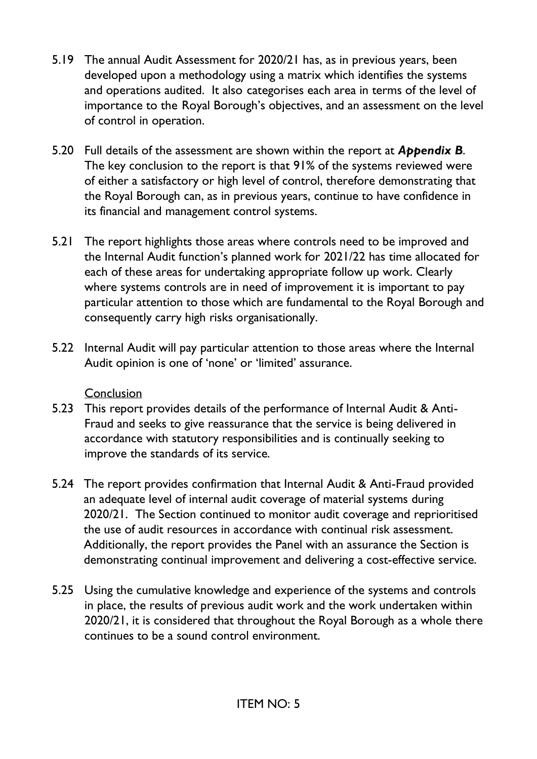- 5.19 The annual Audit Assessment for 2020/21 has, as in previous years, been developed upon a methodology using a matrix which identifies the systems and operations audited. It also categorises each area in terms of the level of importance to the Royal Borough's objectives, and an assessment on the level of control in operation.
- 5.20 Full details of the assessment are shown within the report at *Appendix B*. The key conclusion to the report is that 91% of the systems reviewed were of either a satisfactory or high level of control, therefore demonstrating that the Royal Borough can, as in previous years, continue to have confidence in its financial and management control systems.
- 5.21 The report highlights those areas where controls need to be improved and the Internal Audit function's planned work for 2021/22 has time allocated for each of these areas for undertaking appropriate follow up work. Clearly where systems controls are in need of improvement it is important to pay particular attention to those which are fundamental to the Royal Borough and consequently carry high risks organisationally.
- 5.22 Internal Audit will pay particular attention to those areas where the Internal Audit opinion is one of 'none' or 'limited' assurance.

### **Conclusion**

- 5.23 This report provides details of the performance of Internal Audit & Anti-Fraud and seeks to give reassurance that the service is being delivered in accordance with statutory responsibilities and is continually seeking to improve the standards of its service.
- 5.24 The report provides confirmation that Internal Audit & Anti-Fraud provided an adequate level of internal audit coverage of material systems during 2020/21. The Section continued to monitor audit coverage and reprioritised the use of audit resources in accordance with continual risk assessment. Additionally, the report provides the Panel with an assurance the Section is demonstrating continual improvement and delivering a cost-effective service.
- 5.25 Using the cumulative knowledge and experience of the systems and controls in place, the results of previous audit work and the work undertaken within 2020/21, it is considered that throughout the Royal Borough as a whole there continues to be a sound control environment.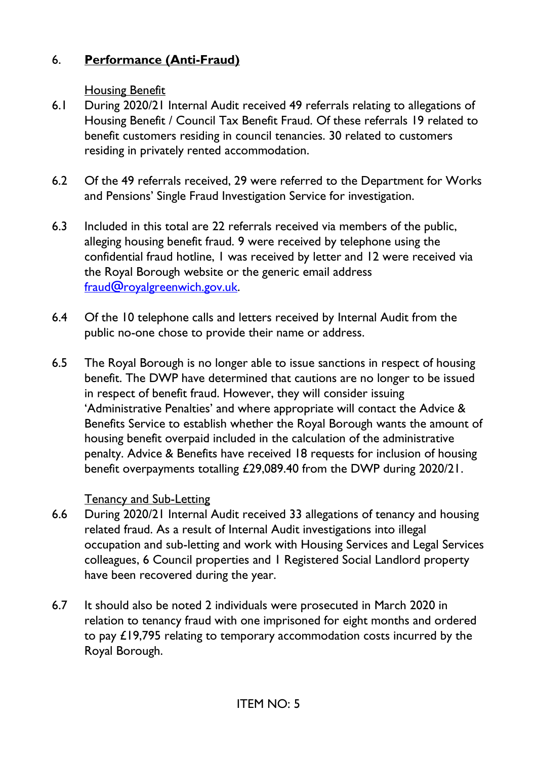# 6. **Performance (Anti-Fraud)**

### Housing Benefit

- 6.1 During 2020/21 Internal Audit received 49 referrals relating to allegations of Housing Benefit / Council Tax Benefit Fraud. Of these referrals 19 related to benefit customers residing in council tenancies. 30 related to customers residing in privately rented accommodation.
- 6.2 Of the 49 referrals received, 29 were referred to the Department for Works and Pensions' Single Fraud Investigation Service for investigation.
- 6.3 Included in this total are 22 referrals received via members of the public, alleging housing benefit fraud. 9 were received by telephone using the confidential fraud hotline, 1 was received by letter and 12 were received via the Royal Borough website or the generic email address [fraud@royalgreenwich.gov.uk.](mailto:fraud@royalgreenwich.gov.uk)
- 6.4 Of the 10 telephone calls and letters received by Internal Audit from the public no-one chose to provide their name or address.
- 6.5 The Royal Borough is no longer able to issue sanctions in respect of housing benefit. The DWP have determined that cautions are no longer to be issued in respect of benefit fraud. However, they will consider issuing 'Administrative Penalties' and where appropriate will contact the Advice & Benefits Service to establish whether the Royal Borough wants the amount of housing benefit overpaid included in the calculation of the administrative penalty. Advice & Benefits have received 18 requests for inclusion of housing benefit overpayments totalling £29,089.40 from the DWP during 2020/21.

### Tenancy and Sub-Letting

- 6.6 During 2020/21 Internal Audit received 33 allegations of tenancy and housing related fraud. As a result of Internal Audit investigations into illegal occupation and sub-letting and work with Housing Services and Legal Services colleagues, 6 Council properties and 1 Registered Social Landlord property have been recovered during the year.
- 6.7 It should also be noted 2 individuals were prosecuted in March 2020 in relation to tenancy fraud with one imprisoned for eight months and ordered to pay £19,795 relating to temporary accommodation costs incurred by the Royal Borough.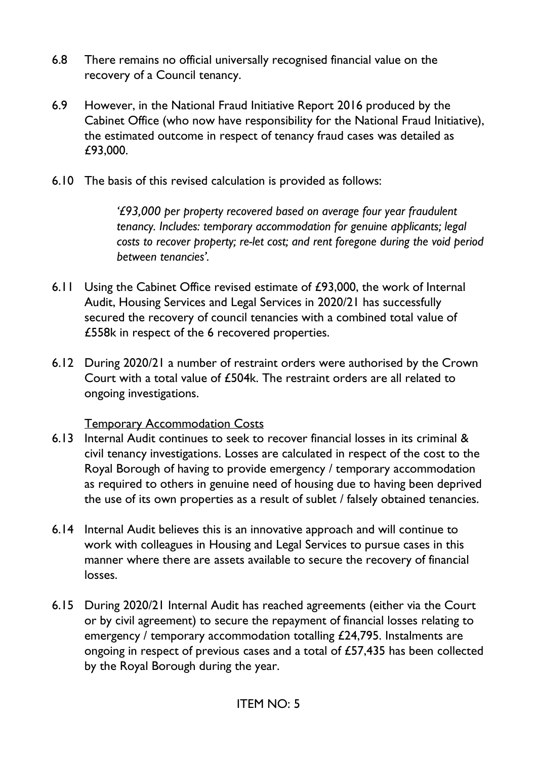- 6.8 There remains no official universally recognised financial value on the recovery of a Council tenancy.
- 6.9 However, in the National Fraud Initiative Report 2016 produced by the Cabinet Office (who now have responsibility for the National Fraud Initiative), the estimated outcome in respect of tenancy fraud cases was detailed as £93,000.
- 6.10 The basis of this revised calculation is provided as follows:

*'£93,000 per property recovered based on average four year fraudulent tenancy. Includes: temporary accommodation for genuine applicants; legal costs to recover property; re-let cost; and rent foregone during the void period between tenancies'.* 

- 6.11 Using the Cabinet Office revised estimate of £93,000, the work of Internal Audit, Housing Services and Legal Services in 2020/21 has successfully secured the recovery of council tenancies with a combined total value of £558k in respect of the 6 recovered properties.
- 6.12 During 2020/21 a number of restraint orders were authorised by the Crown Court with a total value of £504k. The restraint orders are all related to ongoing investigations.

### Temporary Accommodation Costs

- 6.13 Internal Audit continues to seek to recover financial losses in its criminal & civil tenancy investigations. Losses are calculated in respect of the cost to the Royal Borough of having to provide emergency / temporary accommodation as required to others in genuine need of housing due to having been deprived the use of its own properties as a result of sublet / falsely obtained tenancies.
- 6.14 Internal Audit believes this is an innovative approach and will continue to work with colleagues in Housing and Legal Services to pursue cases in this manner where there are assets available to secure the recovery of financial losses.
- 6.15 During 2020/21 Internal Audit has reached agreements (either via the Court or by civil agreement) to secure the repayment of financial losses relating to emergency / temporary accommodation totalling £24,795. Instalments are ongoing in respect of previous cases and a total of £57,435 has been collected by the Royal Borough during the year.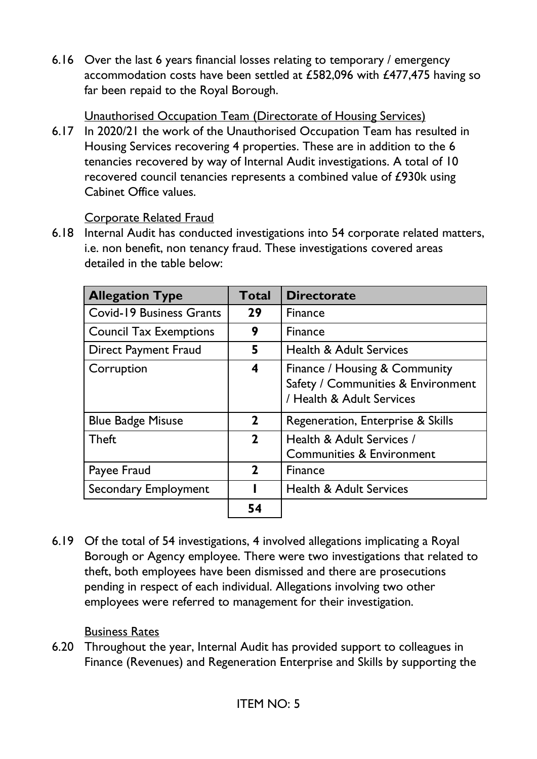6.16 Over the last 6 years financial losses relating to temporary / emergency accommodation costs have been settled at £582,096 with £477,475 having so far been repaid to the Royal Borough.

Unauthorised Occupation Team (Directorate of Housing Services)

6.17 In 2020/21 the work of the Unauthorised Occupation Team has resulted in Housing Services recovering 4 properties. These are in addition to the 6 tenancies recovered by way of Internal Audit investigations. A total of 10 recovered council tenancies represents a combined value of £930k using Cabinet Office values.

# Corporate Related Fraud

6.18 Internal Audit has conducted investigations into 54 corporate related matters, i.e. non benefit, non tenancy fraud. These investigations covered areas detailed in the table below:

| <b>Allegation Type</b>          | <b>Total</b> | <b>Directorate</b>                                                                               |
|---------------------------------|--------------|--------------------------------------------------------------------------------------------------|
| <b>Covid-19 Business Grants</b> | 29           | Finance                                                                                          |
| <b>Council Tax Exemptions</b>   | 9            | Finance                                                                                          |
| <b>Direct Payment Fraud</b>     | 5            | <b>Health &amp; Adult Services</b>                                                               |
| Corruption                      | 4            | Finance / Housing & Community<br>Safety / Communities & Environment<br>/ Health & Adult Services |
| <b>Blue Badge Misuse</b>        | $\mathbf{2}$ | Regeneration, Enterprise & Skills                                                                |
| Theft                           | $\mathbf{2}$ | Health & Adult Services /<br><b>Communities &amp; Environment</b>                                |
| Payee Fraud                     | $\mathbf{2}$ | Finance                                                                                          |
| <b>Secondary Employment</b>     |              | <b>Health &amp; Adult Services</b>                                                               |
|                                 | 54           |                                                                                                  |

6.19 Of the total of 54 investigations, 4 involved allegations implicating a Royal Borough or Agency employee. There were two investigations that related to theft, both employees have been dismissed and there are prosecutions pending in respect of each individual. Allegations involving two other employees were referred to management for their investigation.

Business Rates

6.20 Throughout the year, Internal Audit has provided support to colleagues in Finance (Revenues) and Regeneration Enterprise and Skills by supporting the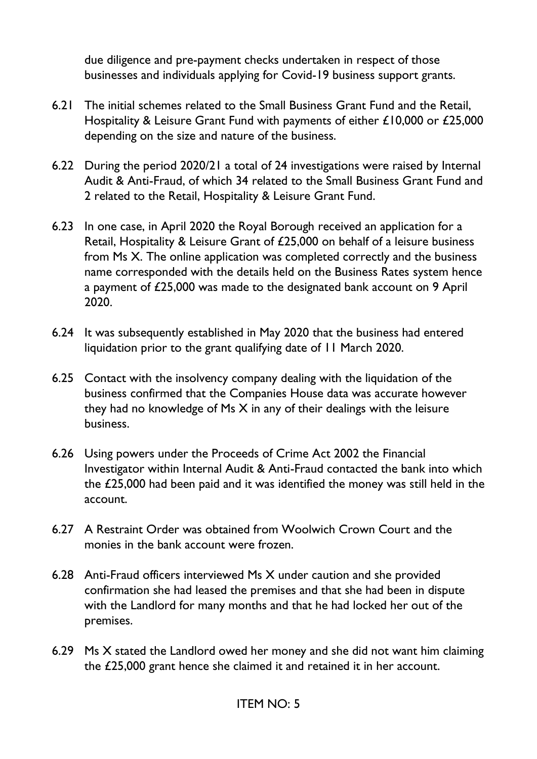due diligence and pre-payment checks undertaken in respect of those businesses and individuals applying for Covid-19 business support grants.

- 6.21 The initial schemes related to the Small Business Grant Fund and the Retail, Hospitality & Leisure Grant Fund with payments of either £10,000 or £25,000 depending on the size and nature of the business.
- 6.22 During the period 2020/21 a total of 24 investigations were raised by Internal Audit & Anti-Fraud, of which 34 related to the Small Business Grant Fund and 2 related to the Retail, Hospitality & Leisure Grant Fund.
- 6.23 In one case, in April 2020 the Royal Borough received an application for a Retail, Hospitality & Leisure Grant of £25,000 on behalf of a leisure business from Ms X. The online application was completed correctly and the business name corresponded with the details held on the Business Rates system hence a payment of £25,000 was made to the designated bank account on 9 April 2020.
- 6.24 It was subsequently established in May 2020 that the business had entered liquidation prior to the grant qualifying date of 11 March 2020.
- 6.25 Contact with the insolvency company dealing with the liquidation of the business confirmed that the Companies House data was accurate however they had no knowledge of Ms  $X$  in any of their dealings with the leisure business.
- 6.26 Using powers under the Proceeds of Crime Act 2002 the Financial Investigator within Internal Audit & Anti-Fraud contacted the bank into which the £25,000 had been paid and it was identified the money was still held in the account.
- 6.27 A Restraint Order was obtained from Woolwich Crown Court and the monies in the bank account were frozen.
- 6.28 Anti-Fraud officers interviewed Ms X under caution and she provided confirmation she had leased the premises and that she had been in dispute with the Landlord for many months and that he had locked her out of the premises.
- 6.29 Ms X stated the Landlord owed her money and she did not want him claiming the £25,000 grant hence she claimed it and retained it in her account.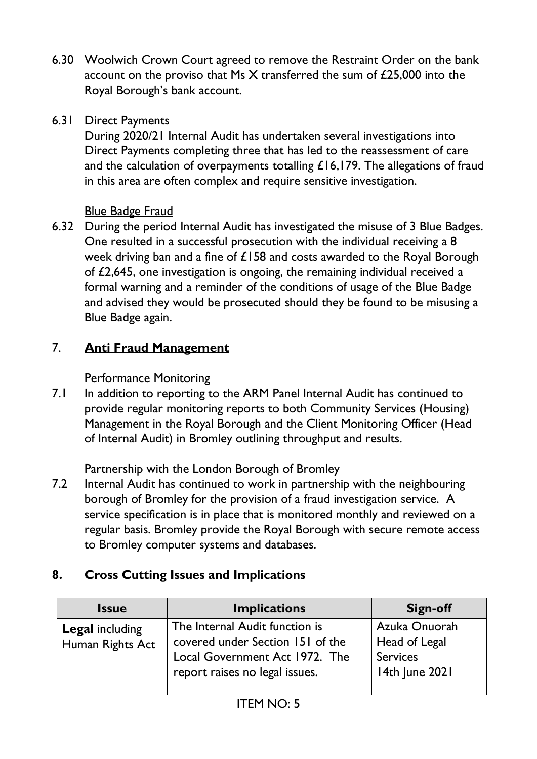6.30 Woolwich Crown Court agreed to remove the Restraint Order on the bank account on the proviso that Ms X transferred the sum of £25,000 into the Royal Borough's bank account.

### 6.31 Direct Payments

During 2020/21 Internal Audit has undertaken several investigations into Direct Payments completing three that has led to the reassessment of care and the calculation of overpayments totalling £16,179. The allegations of fraud in this area are often complex and require sensitive investigation.

### Blue Badge Fraud

6.32 During the period Internal Audit has investigated the misuse of 3 Blue Badges. One resulted in a successful prosecution with the individual receiving a 8 week driving ban and a fine of £158 and costs awarded to the Royal Borough of £2,645, one investigation is ongoing, the remaining individual received a formal warning and a reminder of the conditions of usage of the Blue Badge and advised they would be prosecuted should they be found to be misusing a Blue Badge again.

# 7. **Anti Fraud Management**

### Performance Monitoring

7.1 In addition to reporting to the ARM Panel Internal Audit has continued to provide regular monitoring reports to both Community Services (Housing) Management in the Royal Borough and the Client Monitoring Officer (Head of Internal Audit) in Bromley outlining throughput and results.

### Partnership with the London Borough of Bromley

7.2 Internal Audit has continued to work in partnership with the neighbouring borough of Bromley for the provision of a fraud investigation service. A service specification is in place that is monitored monthly and reviewed on a regular basis. Bromley provide the Royal Borough with secure remote access to Bromley computer systems and databases.

# **8. Cross Cutting Issues and Implications**

| <b>Issue</b>                               | <b>Implications</b>                                                                                                                    | Sign-off                                                            |
|--------------------------------------------|----------------------------------------------------------------------------------------------------------------------------------------|---------------------------------------------------------------------|
| <b>Legal including</b><br>Human Rights Act | The Internal Audit function is<br>covered under Section 151 of the<br>Local Government Act 1972. The<br>report raises no legal issues. | Azuka Onuorah<br>Head of Legal<br><b>Services</b><br>14th June 2021 |